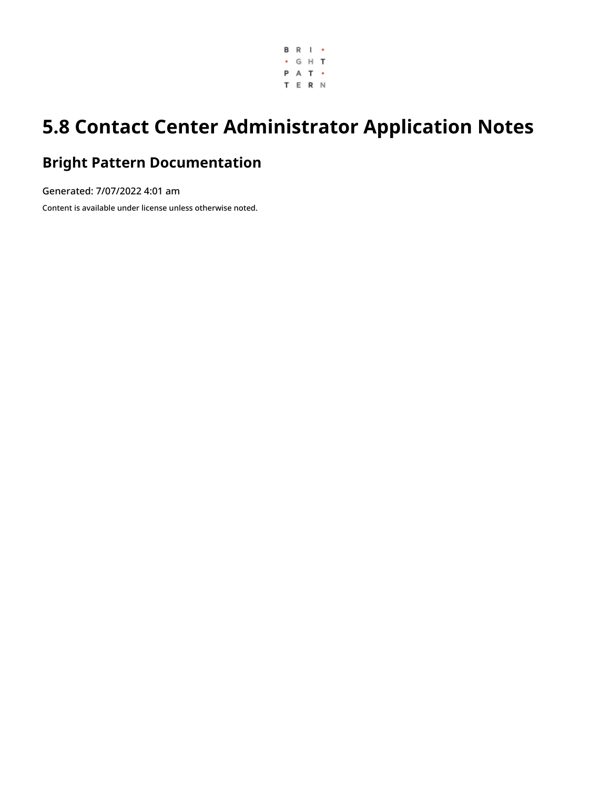

# **5.8 Contact Center Administrator Application Notes**

# **Bright Pattern Documentation**

Generated: 7/07/2022 4:01 am Content is available under license unless otherwise noted.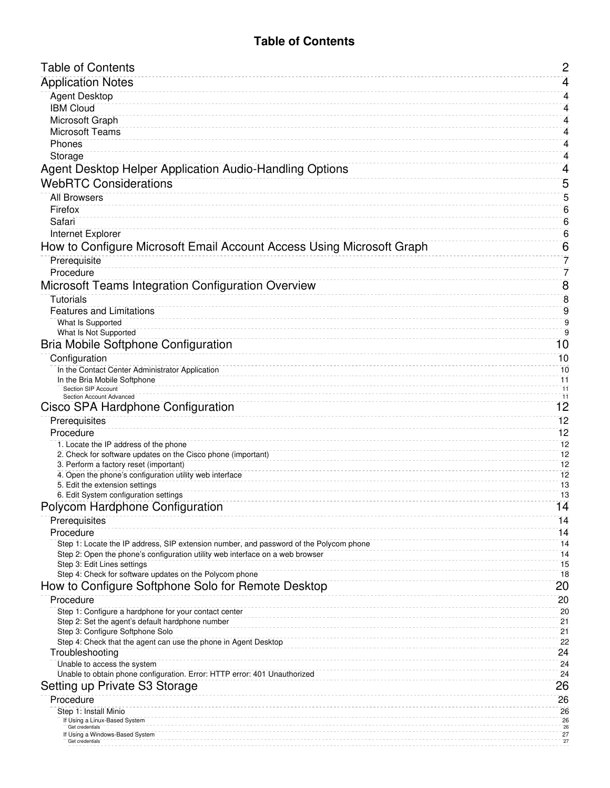## **Table of Contents**

<span id="page-1-0"></span>

| <b>Table of Contents</b>                                                                                 | $\mathbf{2}$     |
|----------------------------------------------------------------------------------------------------------|------------------|
| <b>Application Notes</b>                                                                                 | 4                |
| Agent Desktop                                                                                            | 4                |
| <b>IBM Cloud</b>                                                                                         | 4                |
| <b>Microsoft Graph</b>                                                                                   | 4                |
| <b>Microsoft Teams</b>                                                                                   | 4                |
| Phones                                                                                                   | 4                |
| Storage                                                                                                  | 4                |
| Agent Desktop Helper Application Audio-Handling Options                                                  | 4                |
| <b>WebRTC Considerations</b>                                                                             | 5                |
| <b>All Browsers</b>                                                                                      | 5                |
| Firefox                                                                                                  | $6\phantom{1}6$  |
| Safari                                                                                                   | $6 \overline{6}$ |
| Internet Explorer                                                                                        | $6 \overline{6}$ |
| How to Configure Microsoft Email Account Access Using Microsoft Graph                                    | $6 \overline{6}$ |
| Prerequisite                                                                                             | 7                |
| Procedure                                                                                                | 7                |
| Microsoft Teams Integration Configuration Overview                                                       | 8                |
| <b>Tutorials</b>                                                                                         | $\overline{8}$   |
| <b>Features and Limitations</b>                                                                          | 9                |
| What Is Supported                                                                                        | $\overline{9}$   |
| What Is Not Supported                                                                                    | 9                |
| <b>Bria Mobile Softphone Configuration</b>                                                               | 10               |
| Configuration                                                                                            | 10               |
| In the Contact Center Administrator Application<br>In the Bria Mobile Softphone                          | 10               |
| <b>Section SIP Account</b>                                                                               | 11<br>-11        |
| Section Account Advanced                                                                                 | 11               |
| Cisco SPA Hardphone Configuration                                                                        | 12               |
| Prerequisites                                                                                            | 12               |
| Procedure                                                                                                | 12<br>12         |
| 1. Locate the IP address of the phone<br>2. Check for software updates on the Cisco phone (important)    | 12               |
| 3. Perform a factory reset (important)                                                                   | 12               |
| 4. Open the phone's configuration utility web interface                                                  | 12               |
| 5. Edit the extension settings<br>6. Edit System configuration settings                                  | 13<br>13         |
| Polycom Hardphone Configuration                                                                          | $\overline{14}$  |
| Prerequisites                                                                                            | 14               |
| Procedure                                                                                                | 14               |
| Step 1: Locate the IP address, SIP extension number, and password of the Polycom phone                   | 14               |
| Step 2: Open the phone's configuration utility web interface on a web browser                            | 14               |
| Step 3: Edit Lines settings                                                                              | 15               |
| Step 4: Check for software updates on the Polycom phone                                                  | 18               |
| How to Configure Softphone Solo for Remote Desktop                                                       | 20               |
| Procedure<br>Step 1: Configure a hardphone for your contact center                                       | 20<br>20         |
| Step 2: Set the agent's default hardphone number                                                         | 21               |
| Step 3: Configure Softphone Solo                                                                         | 21               |
| Step 4: Check that the agent can use the phone in Agent Desktop                                          | 22               |
| Troubleshooting                                                                                          | 24               |
| Unable to access the system<br>Unable to obtain phone configuration. Error: HTTP error: 401 Unauthorized | 24<br>24         |
| Setting up Private S3 Storage                                                                            | 26               |
| Procedure                                                                                                | 26               |
| Step 1: Install Minio                                                                                    | 26               |
| If Using a Linux-Based System                                                                            | 26<br>26         |
| Get credentials<br>If Using a Windows-Based System                                                       | 27               |
| Get credentials                                                                                          | 27               |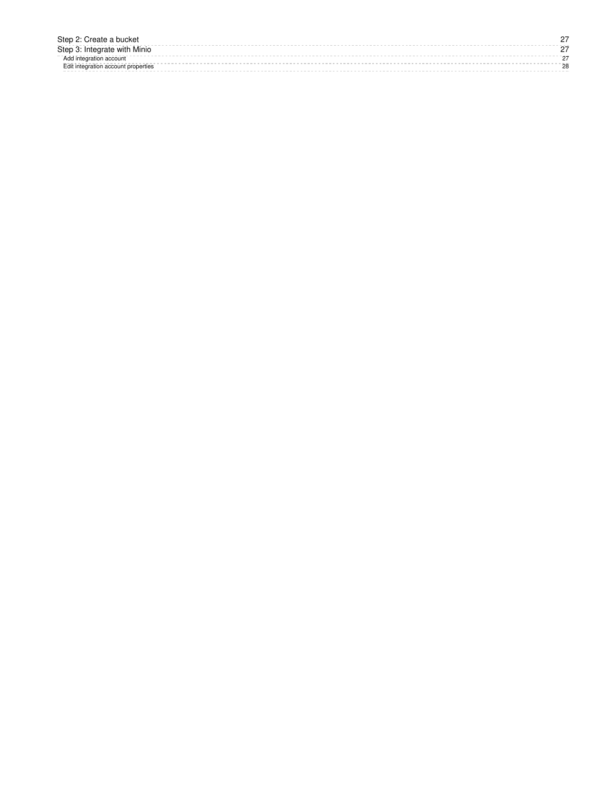| Step 2: Create a bucket             |        |
|-------------------------------------|--------|
| Step 3: Integrate with Minio        |        |
| Add integration account             | $\sim$ |
| Edit integration account properties | 28     |
|                                     |        |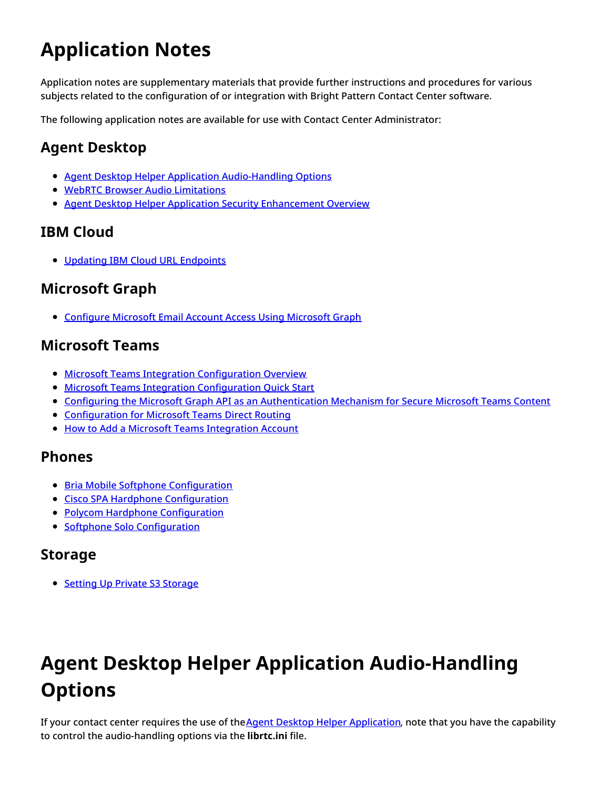# <span id="page-3-0"></span>**Application Notes**

Application notes are supplementary materials that provide further instructions and procedures for various subjects related to the configuration of or integration with Bright Pattern Contact Center software.

The following application notes are available for use with Contact Center Administrator:

# <span id="page-3-1"></span>**Agent Desktop**

- Agent Desktop Helper Application [Audio-Handling](https://help.brightpattern.com/5.8:Contact-center-administrator-guide/ApplicationNotes/?action=html-localimages-export#topic_contact-center-administrator-guide.2Fapplicationnotes.2Fadhaaudiooptions) Options
- WebRTC Browser Audio [Limitations](https://help.brightpattern.com/5.8:Contact-center-administrator-guide/ApplicationNotes/?action=html-localimages-export#topic_contact-center-administrator-guide.2Fapplicationnotes.2Fwebrtc)
- **Agent Desktop Helper Application Security [Enhancement](https://help.brightpattern.com/5.8:Contact-center-administrator-guide/ApplicationNotes/?action=html-localimages-export#topic_contact-center-administrator-guide.2Fadhas) Overview**

## <span id="page-3-2"></span>**IBM Cloud**

• Updating IBM Cloud URL [Endpoints](https://help.brightpattern.com/5.8:Contact-center-administrator-guide/ApplicationNotes/?action=html-localimages-export#topic_contact-center-administrator-guide.2Fapplicationnotes.2Fibmcloudurl)

## <span id="page-3-3"></span>**Microsoft Graph**

**• [Configure](https://help.brightpattern.com/5.8:Contact-center-administrator-guide/ApplicationNotes/?action=html-localimages-export#topic_contact-center-administrator-guide.2Fapplicationnotes.2Fmsgraph) Microsoft Email Account Access Using Microsoft Graph** 

## <span id="page-3-4"></span>**Microsoft Teams**

- **Microsoft Teams Integration [Configuration](https://help.brightpattern.com/5.8:Contact-center-administrator-guide/ApplicationNotes/?action=html-localimages-export#topic_contact-center-administrator-guide.2Fapplicationnotes.2Fmicrosoftteamsintegrationconfiguration.2Foverview) Overview**
- **Microsoft Teams Integration [Configuration](https://help.brightpattern.com/5.8:Contact-center-administrator-guide/ApplicationNotes/?action=html-localimages-export#topic_contact-center-administrator-guide.2Fapplicationnotes.2Fmicrosoftteamsintegrationconfiguration.2Fquickstart) Quick Start**
- Configuring the Microsoft Graph API as an [Authentication](https://help.brightpattern.com/5.8:Contact-center-administrator-guide/ApplicationNotes/?action=html-localimages-export#topic_contact-center-administrator-guide.2Fapplicationnotes.2Fmicrosoftteamsintegrationconfiguration.2Fazureapplicationconfiguration) Mechanism for Secure Microsoft Teams Content
- **[Configuration](https://help.brightpattern.com/5.8:Contact-center-administrator-guide/ApplicationNotes/?action=html-localimages-export#topic_contact-center-administrator-guide.2Fapplicationnotes.2Fmicrosoftteamsintegrationconfiguration.2Fdirectrouting) for Microsoft Teams Direct Routing**
- How to Add a Microsoft Teams [Integration](https://help.brightpattern.com/5.8:Contact-center-administrator-guide/ApplicationNotes/?action=html-localimages-export#topic_contact-center-administrator-guide.2Fapplicationnotes.2Fmicrosoftteamsintegrationconfiguration.2Faddmicrosoftteamsintegrationaccount) Account

## <span id="page-3-5"></span>**Phones**

- **Bria Mobile Softphone [Configuration](https://help.brightpattern.com/5.8:Contact-center-administrator-guide/ApplicationNotes/?action=html-localimages-export#topic_contact-center-administrator-guide.2Fapplicationnotes.2Fbriamobilesoftphoneconfiguration)**
- Cisco SPA Hardphone [Configuration](https://help.brightpattern.com/5.8:Contact-center-administrator-guide/ApplicationNotes/?action=html-localimages-export#topic_contact-center-administrator-guide.2Fapplicationnotes.2Fciscospahardphoneconfiguration)
- Polycom Hardphone [Configuration](https://help.brightpattern.com/5.8:Contact-center-administrator-guide/ApplicationNotes/?action=html-localimages-export#topic_contact-center-administrator-guide.2Fapplicationnotes.2Fpolycomhardphoneconfiguration)
- Softphone Solo [Configuration](https://help.brightpattern.com/5.8:Contact-center-administrator-guide/ApplicationNotes/?action=html-localimages-export#topic_contact-center-administrator-guide.2Fapplicationnotes.2Fsoftphonesoloconfiguration)

## <span id="page-3-6"></span>**Storage**

• Setting Up Private S3 [Storage](https://help.brightpattern.com/5.8:Contact-center-administrator-guide/ApplicationNotes/?action=html-localimages-export#topic_contact-center-administrator-guide.2Fapplicationnotes.2Fsettingupprivates3storage)

# <span id="page-3-7"></span>**Agent Desktop Helper Application Audio-Handling Options**

If your contact center requires the use of theAgent Desktop Helper [Application](https://help.brightpattern.com/5.8:Contact-center-administrator-guide/ApplicationNotes/?action=html-localimages-export#topic_contact-center-administrator-guide.2Fappendices.2Fagentdesktophelperapplication), note that you have the capability to control the audio-handling options via the **librtc.ini** file.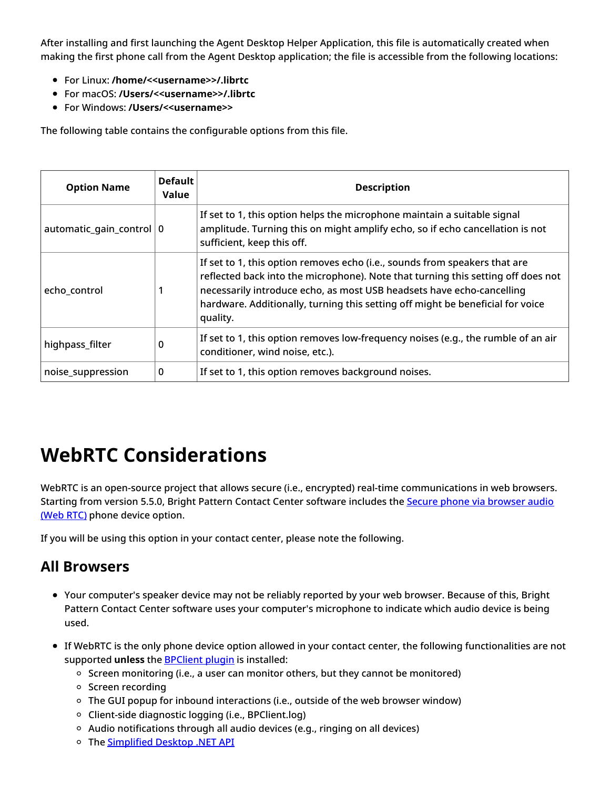After installing and first launching the Agent Desktop Helper Application, this file is automatically created when making the first phone call from the Agent Desktop application; the file is accessible from the following locations:

- For Linux: **/home/<<username>>/.librtc**
- For macOS: **/Users/<<username>>/.librtc**
- For Windows: **/Users/<<username>>**

The following table contains the configurable options from this file.

| <b>Option Name</b>         | <b>Default</b><br>Value | <b>Description</b>                                                                                                                                                                                                                                                                                                                    |
|----------------------------|-------------------------|---------------------------------------------------------------------------------------------------------------------------------------------------------------------------------------------------------------------------------------------------------------------------------------------------------------------------------------|
| automatic_gain_control   0 |                         | If set to 1, this option helps the microphone maintain a suitable signal<br>amplitude. Turning this on might amplify echo, so if echo cancellation is not<br>sufficient, keep this off.                                                                                                                                               |
| echo_control               |                         | If set to 1, this option removes echo (i.e., sounds from speakers that are<br>reflected back into the microphone). Note that turning this setting off does not<br>necessarily introduce echo, as most USB headsets have echo-cancelling<br>hardware. Additionally, turning this setting off might be beneficial for voice<br>quality. |
| highpass_filter            | 0                       | If set to 1, this option removes low-frequency noises (e.g., the rumble of an air<br>conditioner, wind noise, etc.).                                                                                                                                                                                                                  |
| noise_suppression          | 0                       | If set to 1, this option removes background noises.                                                                                                                                                                                                                                                                                   |

# <span id="page-4-0"></span>**WebRTC Considerations**

WebRTC is an open-source project that allows secure (i.e., encrypted) real-time communications in web browsers. Starting from version 5.5.0, Bright Pattern Contact Center [software](https://help.brightpattern.com/5.8:Contact-center-administrator-guide/CallCenterConfiguration/PhoneDevices#Secure_phone_via_browser_audio_.28Web_RTC.29) includes the Secure phone via browser audio (Web RTC) phone device option.

If you will be using this option in your contact center, please note the following.

## <span id="page-4-1"></span>**All Browsers**

- Your computer's speaker device may not be reliably reported by your web browser. Because of this, Bright Pattern Contact Center software uses your computer's microphone to indicate which audio device is being used.
- If WebRTC is the only phone device option allowed in your contact center, the following functionalities are not supported **unless** the **[BPClient](https://help.brightpattern.com/5.8:Contact-center-administrator-guide/ApplicationNotes/?action=html-localimages-export#topic_agent-guide.2Fsetup.2Fagentdesktophelperapplication) plugin** is installed:
	- o Screen monitoring (i.e., a user can monitor others, but they cannot be monitored)
	- $\circ$  Screen recording
	- $\circ$  The GUI popup for inbound interactions (i.e., outside of the web browser window)
	- $\circ$  Client-side diagnostic logging (i.e., BPClient.log)
	- $\circ$  Audio notifications through all audio devices (e.g., ringing on all devices)
	- o The [Simplified](https://help.brightpattern.com/5.8:Contact-center-administrator-guide/ApplicationNotes/?action=html-localimages-export#topic_simplified-desktop-net-api-specification.2Fpurpose) Desktop .NET API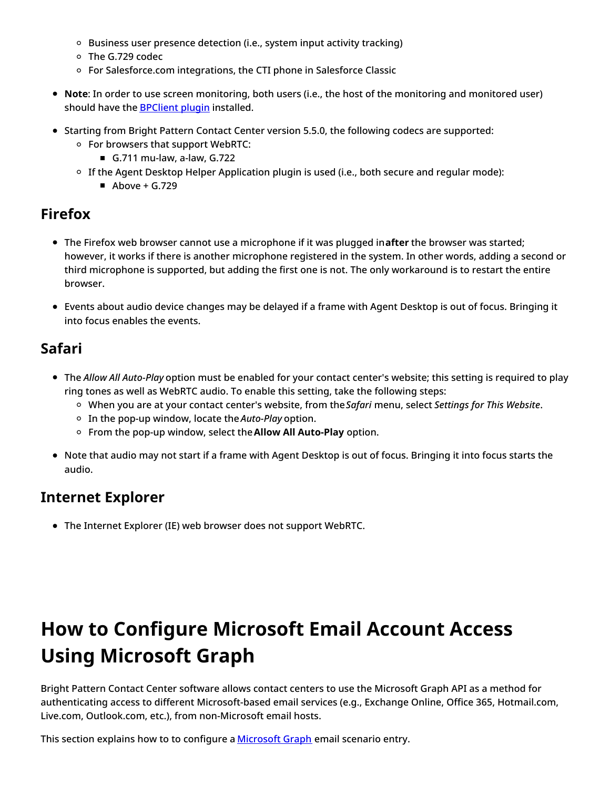- $\circ$  Business user presence detection (i.e., system input activity tracking)
- The G.729 codec
- o For Salesforce.com integrations, the CTI phone in Salesforce Classic
- **Note**: In order to use screen monitoring, both users (i.e., the host of the monitoring and monitored user) should have the **[BPClient](https://help.brightpattern.com/5.8:Contact-center-administrator-guide/ApplicationNotes/?action=html-localimages-export#topic_agent-guide.2Fsetup.2Fagentdesktophelperapplication) plugin** installed.
- Starting from Bright Pattern Contact Center version 5.5.0, the following codecs are supported:
	- For browsers that support WebRTC:
		- G.711 mu-law, a-law, G.722
	- If the Agent Desktop Helper Application plugin is used (i.e., both secure and regular mode):
		- $\blacksquare$  Above + G.729

## <span id="page-5-0"></span>**Firefox**

- The Firefox web browser cannot use a microphone if it was plugged in**after** the browser was started; however, it works if there is another microphone registered in the system. In other words, adding a second or third microphone is supported, but adding the first one is not. The only workaround is to restart the entire browser.
- Events about audio device changes may be delayed if a frame with Agent Desktop is out of focus. Bringing it into focus enables the events.

## <span id="page-5-1"></span>**Safari**

- The *Allow All Auto-Play* option must be enabled for your contact center's website; this setting is required to play ring tones as well as WebRTC audio. To enable this setting, take the following steps:
	- When you are at your contact center's website, from the*Safari* menu, select *Settings for This Website*.
	- In the pop-up window, locate the *Auto-Play* option.
	- From the pop-up window, select the**Allow All Auto-Play** option.
- Note that audio may not start if a frame with Agent Desktop is out of focus. Bringing it into focus starts the audio.

## <span id="page-5-2"></span>**Internet Explorer**

The Internet Explorer (IE) web browser does not support WebRTC.

# <span id="page-5-3"></span>**How to Configure Microsoft Email Account Access Using Microsoft Graph**

Bright Pattern Contact Center software allows contact centers to use the Microsoft Graph API as a method for authenticating access to different Microsoft-based email services (e.g., Exchange Online, Office 365, Hotmail.com, Live.com, Outlook.com, etc.), from non-Microsoft email hosts.

This section explains how to to configure a [Microsoft](https://help.brightpattern.com/5.8:Contact-center-administrator-guide/ScenarioEntries/Email#Microsoft_Graph) Graph email scenario entry.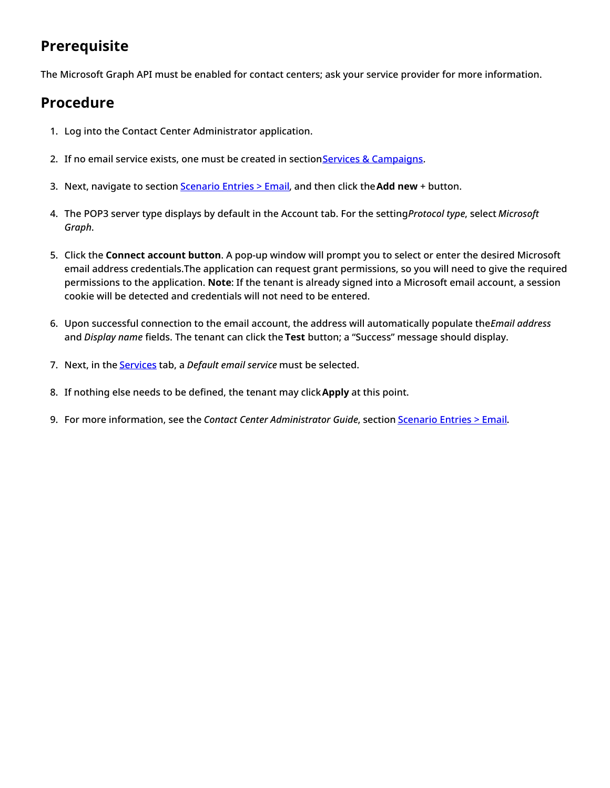# <span id="page-6-0"></span>**Prerequisite**

The Microsoft Graph API must be enabled for contact centers; ask your service provider for more information.

## <span id="page-6-1"></span>**Procedure**

- 1. Log into the Contact Center Administrator application.
- 2. If no email service exists, one must be created in section Services & [Campaigns](https://help.brightpattern.com/5.8:Contact-center-administrator-guide/ApplicationNotes/?action=html-localimages-export#topic_contact-center-administrator-guide.2Fservicesandcampaigns.2Fservicesandcampaignsoverview).
- 3. Next, navigate to section [Scenario](https://help.brightpattern.com/5.8:Contact-center-administrator-guide/ApplicationNotes/?action=html-localimages-export#topic_contact-center-administrator-guide.2Fscenarioentries.2Femail) Entries > Email, and then click the**Add new** + button.
- 4. The POP3 server type displays by default in the Account tab. For the setting*Protocol type*, select *Microsoft Graph*.
- 5. Click the **Connect account button**. A pop-up window will prompt you to select or enter the desired Microsoft email address credentials.The application can request grant permissions, so you will need to give the required permissions to the application. **Note**: If the tenant is already signed into a Microsoft email account, a session cookie will be detected and credentials will not need to be entered.
- 6. Upon successful connection to the email account, the address will automatically populate the*Email address* and *Display name* fields. The tenant can click the **Test** button; a "Success" message should display.
- 7. Next, in the [Services](https://help.brightpattern.com/5.8:Contact-center-administrator-guide/ScenarioEntries/Email#Services_tab) tab, a *Default email service* must be selected.
- 8. If nothing else needs to be defined, the tenant may click**Apply** at this point.
- 9. For more information, see the *Contact Center Administrator Guide*, section [Scenario](https://help.brightpattern.com/5.8:Contact-center-administrator-guide/ApplicationNotes/?action=html-localimages-export#topic_contact-center-administrator-guide.2Fscenarioentries.2Femail) Entries > Email.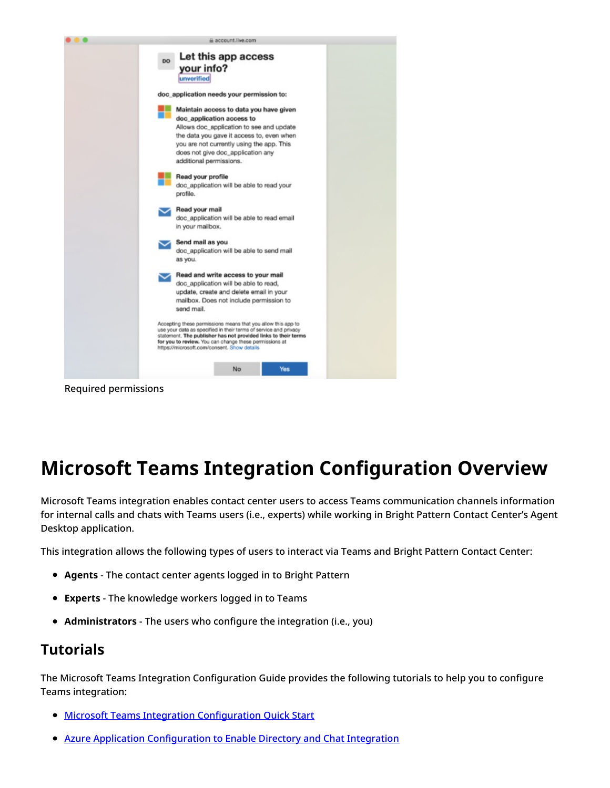

# <span id="page-7-0"></span>**Microsoft Teams Integration Configuration Overview**

Microsoft Teams integration enables contact center users to access Teams communication channels information for internal calls and chats with Teams users (i.e., experts) while working in Bright Pattern Contact Center's Agent Desktop application.

This integration allows the following types of users to interact via Teams and Bright Pattern Contact Center:

- **Agents** The contact center agents logged in to Bright Pattern
- **Experts** The knowledge workers logged in to Teams
- **Administrators** The users who configure the integration (i.e., you)

## <span id="page-7-1"></span>**Tutorials**

The Microsoft Teams Integration Configuration Guide provides the following tutorials to help you to configure Teams integration:

- **Microsoft Teams Integration [Configuration](https://help.brightpattern.com/5.8:Contact-center-administrator-guide/ApplicationNotes/?action=html-localimages-export#topic_contact-center-administrator-guide.2Fapplicationnotes.2Fmicrosoftteamsintegrationconfiguration.2Fquickstart) Quick Start**
- Azure Application [Configuration](https://help.brightpattern.com/5.8:Contact-center-administrator-guide/ApplicationNotes/?action=html-localimages-export#topic_contact-center-administrator-guide.2Fapplicationnotes.2Fmicrosoftteamsintegrationconfiguration.2Fazureapplicationconfiguration) to Enable Directory and Chat Integration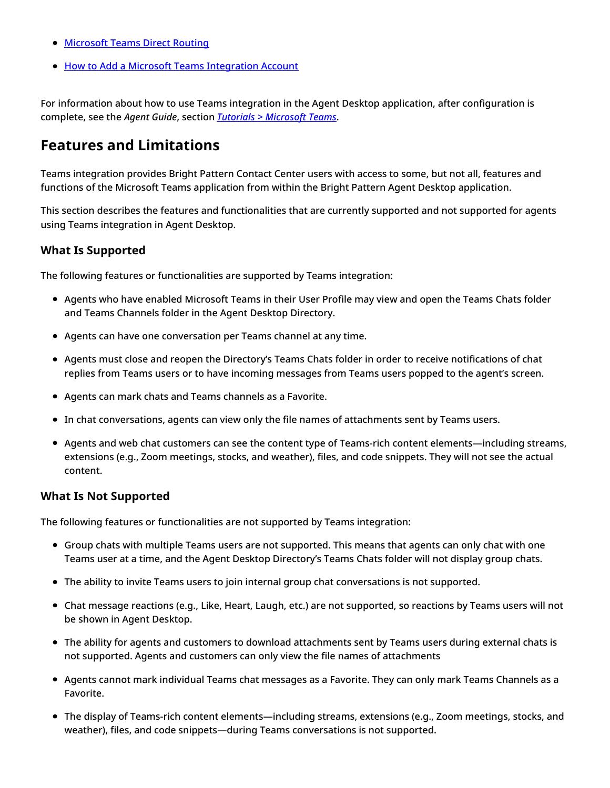- **[Microsoft](https://help.brightpattern.com/5.8:Contact-center-administrator-guide/ApplicationNotes/?action=html-localimages-export#topic_contact-center-administrator-guide.2Fapplicationnotes.2Fmicrosoftteamsintegrationconfiguration.2Fdirectrouting) Teams Direct Routing**
- How to Add a Microsoft Teams [Integration](https://help.brightpattern.com/5.8:Contact-center-administrator-guide/ApplicationNotes/?action=html-localimages-export#topic_contact-center-administrator-guide.2Fapplicationnotes.2Fmicrosoftteamsintegrationconfiguration.2Faddmicrosoftteamsintegrationaccount) Account

For information about how to use Teams integration in the Agent Desktop application, after configuration is complete, see the *Agent Guide*, section *Tutorials > [Microsoft](https://help.brightpattern.com/5.8:Contact-center-administrator-guide/ApplicationNotes/?action=html-localimages-export#topic_agent-guide.2Ftutorials.2Fmicrosoftteams.2Foverview) Teams*.

## <span id="page-8-0"></span>**Features and Limitations**

Teams integration provides Bright Pattern Contact Center users with access to some, but not all, features and functions of the Microsoft Teams application from within the Bright Pattern Agent Desktop application.

This section describes the features and functionalities that are currently supported and not supported for agents using Teams integration in Agent Desktop.

### <span id="page-8-1"></span>**What Is Supported**

The following features or functionalities are supported by Teams integration:

- Agents who have enabled Microsoft Teams in their User Profile may view and open the Teams Chats folder and Teams Channels folder in the Agent Desktop Directory.
- Agents can have one conversation per Teams channel at any time.
- Agents must close and reopen the Directory's Teams Chats folder in order to receive notifications of chat replies from Teams users or to have incoming messages from Teams users popped to the agent's screen.
- Agents can mark chats and Teams channels as a Favorite.
- In chat conversations, agents can view only the file names of attachments sent by Teams users.
- Agents and web chat customers can see the content type of Teams-rich content elements—including streams, extensions (e.g., Zoom meetings, stocks, and weather), files, and code snippets. They will not see the actual content.

#### <span id="page-8-2"></span>**What Is Not Supported**

The following features or functionalities are not supported by Teams integration:

- Group chats with multiple Teams users are not supported. This means that agents can only chat with one Teams user at a time, and the Agent Desktop Directory's Teams Chats folder will not display group chats.
- The ability to invite Teams users to join internal group chat conversations is not supported.
- Chat message reactions (e.g., Like, Heart, Laugh, etc.) are not supported, so reactions by Teams users will not be shown in Agent Desktop.
- The ability for agents and customers to download attachments sent by Teams users during external chats is not supported. Agents and customers can only view the file names of attachments
- Agents cannot mark individual Teams chat messages as a Favorite. They can only mark Teams Channels as a Favorite.
- The display of Teams-rich content elements—including streams, extensions (e.g., Zoom meetings, stocks, and weather), files, and code snippets—during Teams conversations is not supported.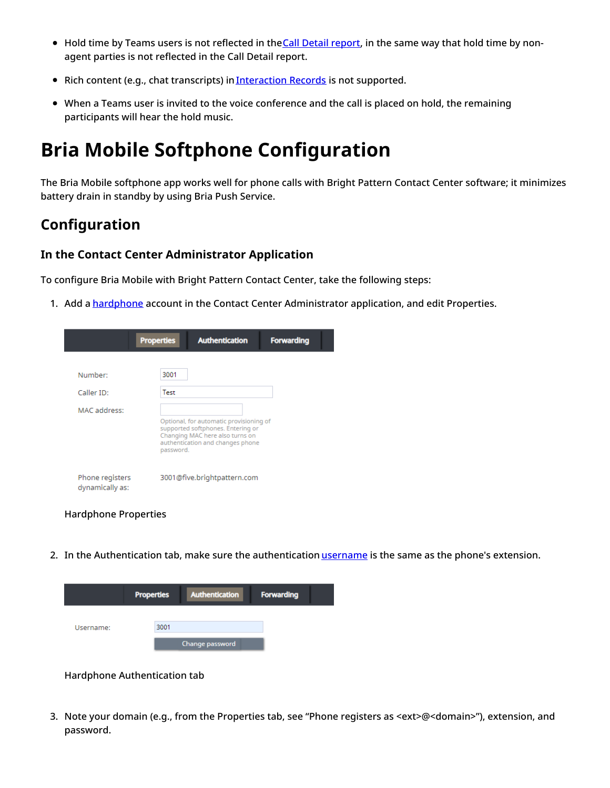- Hold time by Teams users is not reflected in the Call Detail [report,](https://help.brightpattern.com/5.8:Contact-center-administrator-guide/ApplicationNotes/?action=html-localimages-export#topic_reporting-reference-guide.2Fcalldetailreport) in the same way that hold time by nonagent parties is not reflected in the Call Detail report.
- Rich content (e.g., chat transcripts) in *[Interaction](https://help.brightpattern.com/5.8:Contact-center-administrator-guide/ApplicationNotes/?action=html-localimages-export#topic_reporting-reference-guide.2Funderstandinginteractionrecordssearchresults) Records* is not supported.
- When a Teams user is invited to the voice conference and the call is placed on hold, the remaining participants will hear the hold music.

# <span id="page-9-0"></span>**Bria Mobile Softphone Configuration**

The Bria Mobile softphone app works well for phone calls with Bright Pattern Contact Center software; it minimizes battery drain in standby by using Bria Push Service.

## <span id="page-9-1"></span>**Configuration**

#### <span id="page-9-2"></span>**In the Contact Center Administrator Application**

To configure Bria Mobile with Bright Pattern Contact Center, take the following steps:

1. Add a [hardphone](https://help.brightpattern.com/5.8:Contact-center-administrator-guide/ApplicationNotes/?action=html-localimages-export#topic_contact-center-administrator-guide.2Fhardphones) account in the Contact Center Administrator application, and edit Properties.

|                                    | <b>Properties</b> | <b>Authentication</b>                                                                                                                               | <b>Forwarding</b> |
|------------------------------------|-------------------|-----------------------------------------------------------------------------------------------------------------------------------------------------|-------------------|
| Number:<br>Caller ID:              | 3001<br>Test      |                                                                                                                                                     |                   |
| MAC address:                       | password.         | Optional, for automatic provisioning of<br>supported softphones. Entering or<br>Changing MAC here also turns on<br>authentication and changes phone |                   |
| Phone registers<br>dynamically as: |                   | 3001@five.brightpattern.com                                                                                                                         |                   |

Hardphone Properties

2. In the Authentication tab, make sure the authentication [username](https://help.brightpattern.com/5.8:Contact-center-administrator-guide/Hardphones#Authentication_tab) is the same as the phone's extension.

|           | <b>Properties</b> | <b>Authentication</b> | <b>Forwarding</b> |
|-----------|-------------------|-----------------------|-------------------|
| Username: | 3001              |                       |                   |
|           |                   | Change password       |                   |

Hardphone Authentication tab

3. Note your domain (e.g., from the Properties tab, see "Phone registers as <ext>@<domain>"), extension, and password.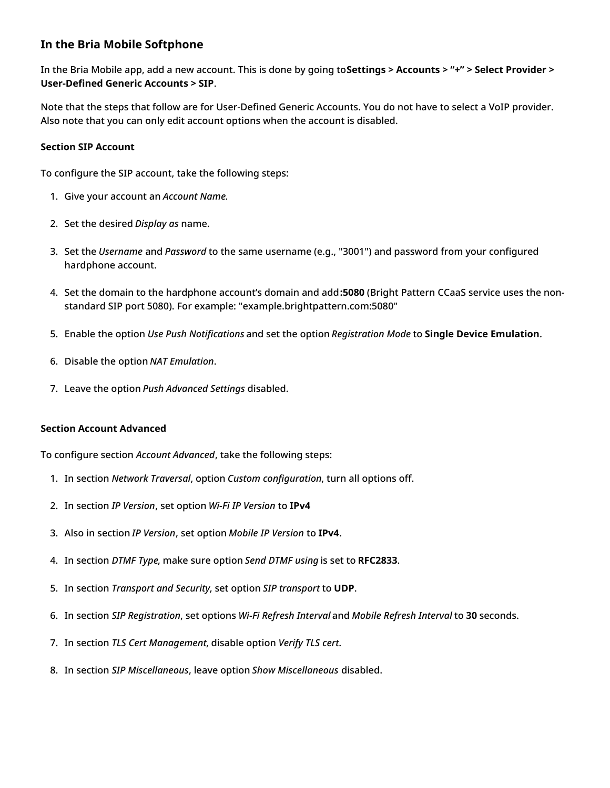### <span id="page-10-0"></span>**In the Bria Mobile Softphone**

In the Bria Mobile app, add a new account. This is done by going to**Settings > Accounts > "+" > Select Provider > User-Defined Generic Accounts > SIP**.

Note that the steps that follow are for User-Defined Generic Accounts. You do not have to select a VoIP provider. Also note that you can only edit account options when the account is disabled.

#### <span id="page-10-1"></span>**Section SIP Account**

To configure the SIP account, take the following steps:

- 1. Give your account an *Account Name.*
- 2. Set the desired *Display as* name.
- 3. Set the *Username* and *Password* to the same username (e.g., "3001") and password from your configured hardphone account.
- 4. Set the domain to the hardphone account's domain and add**:5080** (Bright Pattern CCaaS service uses the nonstandard SIP port 5080). For example: "example.brightpattern.com:5080"
- 5. Enable the option *Use Push Notifications* and set the option *Registration Mode* to **Single Device Emulation**.
- 6. Disable the option *NAT Emulation*.
- 7. Leave the option *Push Advanced Settings* disabled.

#### <span id="page-10-2"></span>**Section Account Advanced**

To configure section *Account Advanced*, take the following steps:

- 1. In section *Network Traversal*, option *Custom configuration*, turn all options off.
- 2. In section *IP Version*, set option *Wi-Fi IP Version* to **IPv4**
- 3. Also in section *IP Version*, set option *Mobile IP Version* to **IPv4**.
- 4. In section *DTMF Type*, make sure option *Send DTMF using* is set to **RFC2833**.
- 5. In section *Transport and Security*, set option *SIP transport* to **UDP**.
- 6. In section *SIP Registration*, set options *Wi-Fi Refresh Interval* and *Mobile Refresh Interval* to **30** seconds.
- 7. In section *TLS Cert Management*, disable option *Verify TLS cert*.
- 8. In section *SIP Miscellaneous*, leave option *Show Miscellaneous* disabled.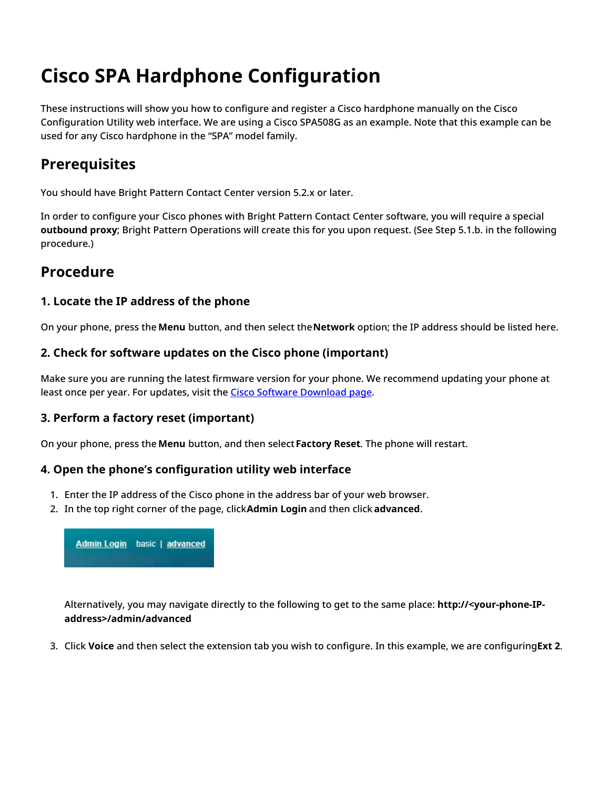# <span id="page-11-0"></span>**Cisco SPA Hardphone Configuration**

These instructions will show you how to configure and register a Cisco hardphone manually on the Cisco Configuration Utility web interface. We are using a Cisco SPA508G as an example. Note that this example can be used for any Cisco hardphone in the "SPA" model family.

## <span id="page-11-1"></span>**Prerequisites**

You should have Bright Pattern Contact Center version 5.2.x or later.

In order to configure your Cisco phones with Bright Pattern Contact Center software, you will require a special **outbound proxy**; Bright Pattern Operations will create this for you upon request. (See Step 5.1.b. in the following procedure.)

# <span id="page-11-2"></span>**Procedure**

## <span id="page-11-3"></span>**1. Locate the IP address of the phone**

On your phone, press the **Menu** button, and then select the**Network** option; the IP address should be listed here.

## <span id="page-11-4"></span>**2. Check for software updates on the Cisco phone (important)**

Make sure you are running the latest firmware version for your phone. We recommend updating your phone at least once per year. For updates, visit the **Cisco Software [Download](https://software.cisco.com/download/home/282733326) page**.

## <span id="page-11-5"></span>**3. Perform a factory reset (important)**

On your phone, press the **Menu** button, and then select**Factory Reset**. The phone will restart.

## <span id="page-11-6"></span>**4. Open the phone's configuration utility web interface**

- 1. Enter the IP address of the Cisco phone in the address bar of your web browser.
- 2. In the top right corner of the page, click**Admin Login** and then click **advanced**.



Alternatively, you may navigate directly to the following to get to the same place: **http://<your-phone-IPaddress>/admin/advanced**

3. Click **Voice** and then select the extension tab you wish to configure. In this example, we are configuring**Ext 2**.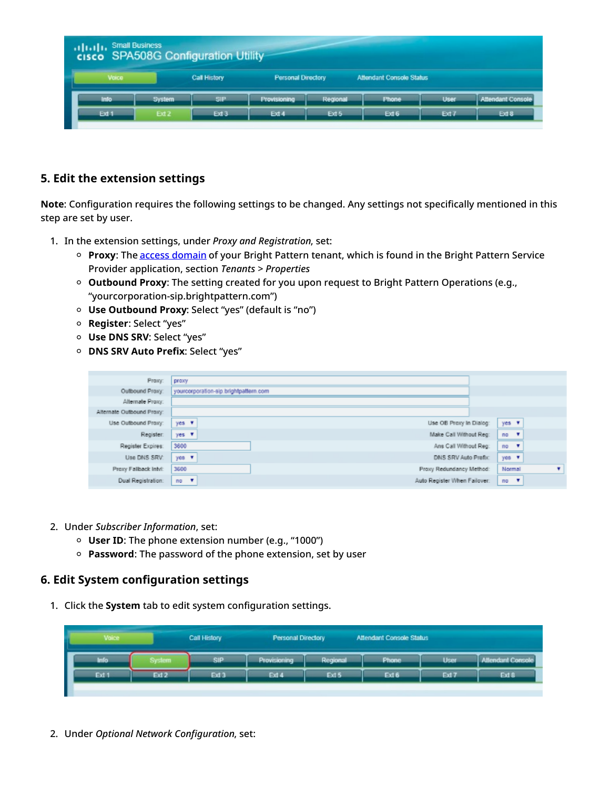| <b>Small Business</b><br><b>The Figure Small Business</b><br><b>CISCO</b> SPA508G Configuration Utility |                  |              |                           |          |                                 |                  |                          |
|---------------------------------------------------------------------------------------------------------|------------------|--------------|---------------------------|----------|---------------------------------|------------------|--------------------------|
| Voice                                                                                                   |                  | Call History | <b>Personal Directory</b> |          | <b>Attendant Console Status</b> |                  |                          |
| Info                                                                                                    | <b>System</b>    | SIP          | <b>Provisioning</b>       | Regional | <b>Phone</b>                    | <b>User</b>      | <b>Attendant Console</b> |
| Ext 1                                                                                                   | Ext <sub>2</sub> | Ext 3        | Ext 4                     | Ext 5    | Ext 6                           | Ext <sub>7</sub> | Ext 8                    |

### <span id="page-12-0"></span>**5. Edit the extension settings**

**Note**: Configuration requires the following settings to be changed. Any settings not specifically mentioned in this step are set by user.

- 1. In the extension settings, under *Proxy and Registration*, set:
	- **Proxy**: The access [domain](https://help.brightpattern.com/5.8:Service-provider-guide/Tenants/PropertiesTab#Access_domain) of your Bright Pattern tenant, which is found in the Bright Pattern Service Provider application, section *Tenants > Properties*
	- **Outbound Proxy**: The setting created for you upon request to Bright Pattern Operations (e.g., "yourcorporation-sip.brightpattern.com")
	- **Use Outbound Proxy**: Select "yes" (default is "no")
	- **Register**: Select "yes"
	- **Use DNS SRV**: Select "yes"
	- **DNS SRV Auto Prefix**: Select "yes"

| Proxy:                    | proxy                                     |             |
|---------------------------|-------------------------------------------|-------------|
| Outbound Proxy:           | yourcorporation-sip.brightpattern.com     |             |
| Alternate Proxy:          |                                           |             |
| Alternate Outbound Proxy: |                                           |             |
| Use Outbound Proxy:       | Use OB Proxy In Dialog:<br>$yes$ $\tau$   | yes v       |
| Register:                 | Make Call Without Reg:<br>$yes - 2$       | $no \t{v}$  |
| Register Expires:         | 3600<br>Ans Call Without Reg:             | $no \t{F}$  |
| Use DNS SRV:              | $y$ es $\tau$<br>DNS SRV Auto Prefix:     | yes v       |
| Proxy Fallback Intvl:     | 3600<br>Proxy Redundancy Method:          | Normal<br>۰ |
| Dual Registration:        | Auto Register When Failover:<br>$no \t v$ | $no - 7$    |

- 2. Under *Subscriber Information*, set:
	- **User ID**: The phone extension number (e.g., "1000")
	- **Password**: The password of the phone extension, set by user

#### <span id="page-12-1"></span>**6. Edit System configuration settings**

1. Click the **System** tab to edit system configuration settings.

| Voice |        | Call History     | Personal Directory |          | Attendant Console Status |             |                          |
|-------|--------|------------------|--------------------|----------|--------------------------|-------------|--------------------------|
| Info  | System | SIP              | Provisioning       | Regional | <b>Phone</b>             | <b>User</b> | <b>Allendant Console</b> |
| Ext 1 | Ext 2  | Ext <sub>3</sub> | Ext 4              | Ext 5    | Ext 6                    | Ext 7       | Ext 8                    |
|       |        |                  |                    |          |                          |             |                          |

2. Under *Optional Network Configuration*, set: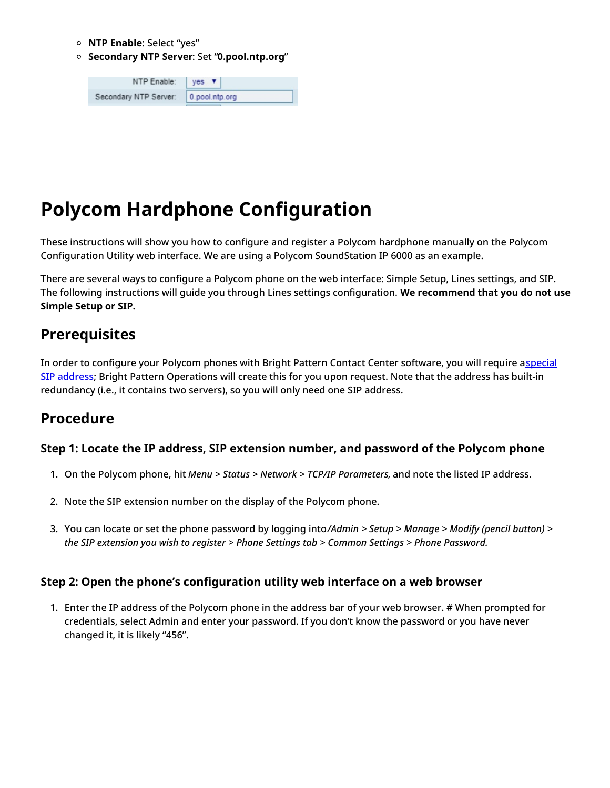- **NTP Enable**: Select "yes"
- **Secondary NTP Server**: Set "**0.pool.ntp.org**"

| NTP Enable:           | $yes \blacktriangledown$ |
|-----------------------|--------------------------|
| Secondary NTP Server: | 0.pool.ntp.org           |

# <span id="page-13-0"></span>**Polycom Hardphone Configuration**

These instructions will show you how to configure and register a Polycom hardphone manually on the Polycom Configuration Utility web interface. We are using a Polycom SoundStation IP 6000 as an example.

There are several ways to configure a Polycom phone on the web interface: Simple Setup, Lines settings, and SIP. The following instructions will guide you through Lines settings configuration. **We recommend that you do not use Simple Setup or SIP.**

## <span id="page-13-1"></span>**Prerequisites**

In order to configure your Polycom phones with Bright Pattern Contact Center software, you will require aspecial SIP address; Bright Pattern [Operations](https://help.brightpattern.com/5.8:Contact-center-administrator-guide/ApplicationNotes/?action=html-localimages-export#Step_3:_Edit_Lines_settings) will create this for you upon request. Note that the address has built-in redundancy (i.e., it contains two servers), so you will only need one SIP address.

## <span id="page-13-2"></span>**Procedure**

### <span id="page-13-3"></span>**Step 1: Locate the IP address, SIP extension number, and password of the Polycom phone**

- 1. On the Polycom phone, hit *Menu > Status > Network > TCP/IP Parameters*, and note the listed IP address.
- 2. Note the SIP extension number on the display of the Polycom phone.
- 3. You can locate or set the phone password by logging into*/Admin > Setup > Manage > Modify (pencil button) > the SIP extension you wish to register > Phone Settings tab > Common Settings > Phone Password.*

### <span id="page-13-4"></span>**Step 2: Open the phone's configuration utility web interface on a web browser**

1. Enter the IP address of the Polycom phone in the address bar of your web browser. # When prompted for credentials, select Admin and enter your password. If you don't know the password or you have never changed it, it is likely "456".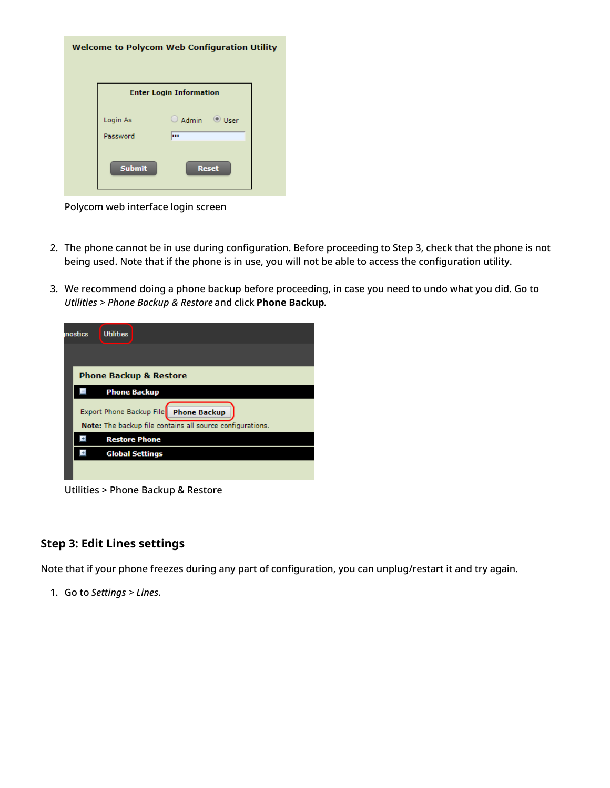|                      | <b>Welcome to Polycom Web Configuration Utility</b> |  |
|----------------------|-----------------------------------------------------|--|
|                      | <b>Enter Login Information</b>                      |  |
| Login As<br>Password | $\bigcirc$ Admin<br>$\odot$ User<br>                |  |
| <b>Submit</b>        | <b>Reset</b>                                        |  |

Polycom web interface login screen

- 2. The phone cannot be in use during configuration. Before proceeding to Step 3, check that the phone is not being used. Note that if the phone is in use, you will not be able to access the configuration utility.
- 3. We recommend doing a phone backup before proceeding, in case you need to undo what you did. Go to *Utilities > Phone Backup & Restore* and click **Phone Backup**.

| <b>Utilities</b>                                          |
|-----------------------------------------------------------|
|                                                           |
| <b>Phone Backup &amp; Restore</b>                         |
| <b>Phone Backup</b>                                       |
| Export Phone Backup File Phone Backup                     |
| Note: The backup file contains all source configurations. |
| <b>Restore Phone</b>                                      |
| <b>Global Settings</b>                                    |
|                                                           |
| inostics                                                  |

Utilities > Phone Backup & Restore

### <span id="page-14-0"></span>**Step 3: Edit Lines settings**

Note that if your phone freezes during any part of configuration, you can unplug/restart it and try again.

1. Go to *Settings > Lines*.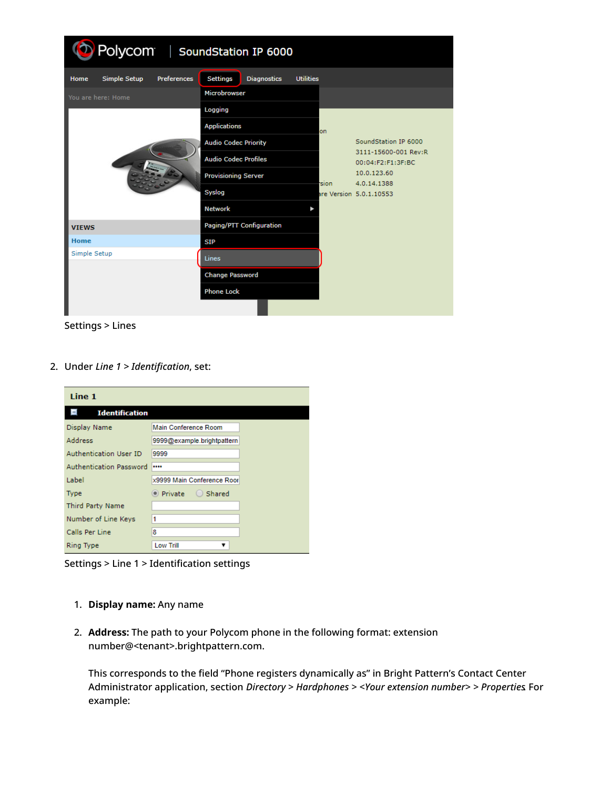| Polycom   SoundStation IP 6000             |                                                           |                                           |  |  |
|--------------------------------------------|-----------------------------------------------------------|-------------------------------------------|--|--|
| Simple Setup<br><b>Preferences</b><br>Home | <b>Settings</b><br><b>Diagnostics</b><br><b>Utilities</b> |                                           |  |  |
| You are here: Home                         | <b>Microbrowser</b>                                       |                                           |  |  |
|                                            | Logging                                                   |                                           |  |  |
|                                            | <b>Applications</b><br>on.                                |                                           |  |  |
|                                            | <b>Audio Codec Priority</b>                               | SoundStation IP 6000                      |  |  |
|                                            | <b>Audio Codec Profiles</b>                               | 3111-15600-001 Rev:R<br>00:04:F2:F1:3F:BC |  |  |
|                                            | <b>Provisioning Server</b>                                | 10.0.123.60                               |  |  |
|                                            | <b>Sion</b><br>Syslog                                     | 4.0.14.1388<br>are Version 5.0.1.10553    |  |  |
|                                            | <b>Network</b>                                            |                                           |  |  |
| <b>VIEWS</b>                               | Paging/PTT Configuration                                  |                                           |  |  |
| <b>Home</b>                                | <b>SIP</b>                                                |                                           |  |  |
| Simple Setup                               | Lines                                                     |                                           |  |  |
|                                            | <b>Change Password</b>                                    |                                           |  |  |
|                                            | <b>Phone Lock</b>                                         |                                           |  |  |
|                                            |                                                           |                                           |  |  |

Settings > Lines

2. Under *Line 1 > Identification*, set:

| Line 1                  |                             |
|-------------------------|-----------------------------|
| <b>Identification</b>   |                             |
| Display Name            | Main Conference Room        |
| Address                 | 9999@example.brightpattern  |
| Authentication User ID  | 9999                        |
| Authentication Password |                             |
| Label                   | x9999 Main Conference Roor  |
| <b>Type</b>             | $\bullet$ Private<br>Shared |
| Third Party Name        |                             |
| Number of Line Keys     | 1                           |
| Calls Per Line          | 8                           |
| Ring Type               | <b>Low Trill</b><br>v       |

Settings > Line 1 > Identification settings

- 1. **Display name:** Any name
- 2. **Address:** The path to your Polycom phone in the following format: extension number@<tenant>.brightpattern.com.

This corresponds to the field "Phone registers dynamically as" in Bright Pattern's Contact Center Administrator application, section *Directory > Hardphones > <Your extension number> > Properties*. For example: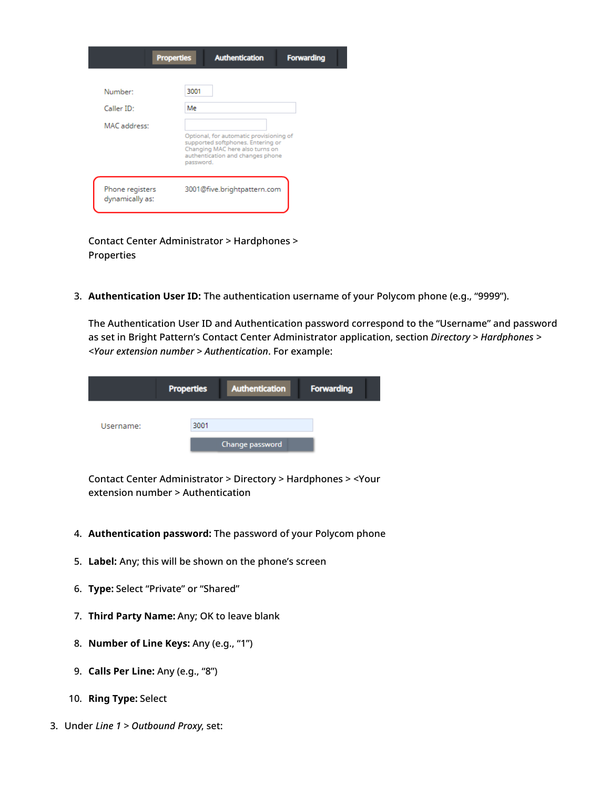|                                    | <b>Properties</b><br><b>Authentication</b><br><b>Forwarding</b>                                                                                                  |  |
|------------------------------------|------------------------------------------------------------------------------------------------------------------------------------------------------------------|--|
| Number <sup>*</sup>                | 3001                                                                                                                                                             |  |
| Caller ID:                         | Me                                                                                                                                                               |  |
| MAC address:                       |                                                                                                                                                                  |  |
|                                    | Optional, for automatic provisioning of<br>supported softphones. Entering or<br>Changing MAC here also turns on<br>authentication and changes phone<br>password. |  |
| Phone registers<br>dynamically as: | 3001@five.brightpattern.com                                                                                                                                      |  |

Contact Center Administrator > Hardphones > Properties

3. **Authentication User ID:** The authentication username of your Polycom phone (e.g., "9999").

The Authentication User ID and Authentication password correspond to the "Username" and password as set in Bright Pattern's Contact Center Administrator application, section *Directory > Hardphones > <Your extension number > Authentication*. For example:

|           | <b>Properties</b> | Authentication  | <b>Forwarding</b> |  |
|-----------|-------------------|-----------------|-------------------|--|
| Username: | 3001              |                 |                   |  |
|           |                   | Change password |                   |  |

Contact Center Administrator > Directory > Hardphones > <Your extension number > Authentication

- 4. **Authentication password:** The password of your Polycom phone
- 5. **Label:** Any; this will be shown on the phone's screen
- 6. **Type:** Select "Private" or "Shared"
- 7. **Third Party Name:** Any; OK to leave blank
- 8. **Number of Line Keys:** Any (e.g., "1")
- 9. **Calls Per Line:** Any (e.g., "8")
- 10. **Ring Type:** Select
- 3. Under *Line 1 > Outbound Proxy*, set: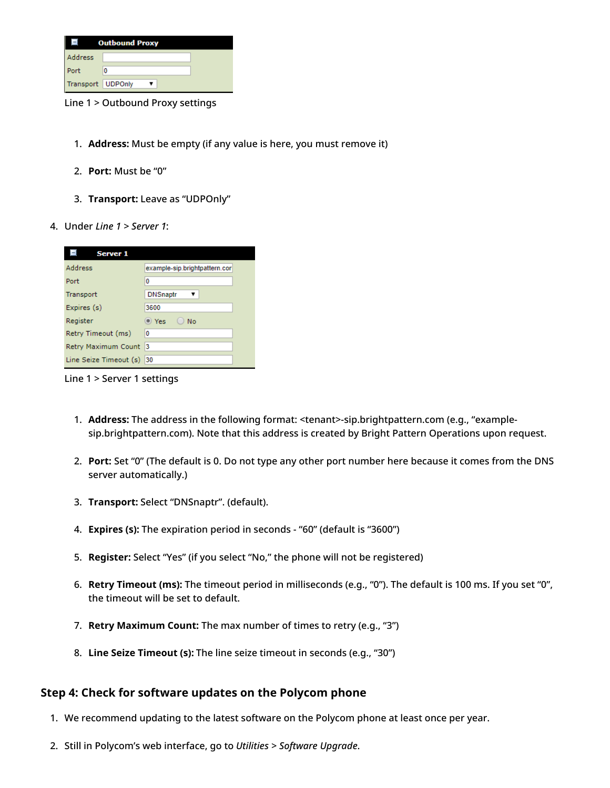| <b>Outbound Proxy</b> |   |  |
|-----------------------|---|--|
| Address               |   |  |
| Port                  | 0 |  |
| Transport   UDPOnly   |   |  |

Line 1 > Outbound Proxy settings

- 1. **Address:** Must be empty (if any value is here, you must remove it)
- 2. **Port:** Must be "0"
- 3. **Transport:** Leave as "UDPOnly"
- 4. Under *Line 1 > Server 1*:

| <b>Server 1</b>        |                               |
|------------------------|-------------------------------|
| <b>Address</b>         | example-sip.brightpattern.cor |
| Port                   | 0                             |
| Transport              | <b>DNSnaptr</b>               |
| Expires (s)            | 3600                          |
| Register               | <sup>o</sup> Yes<br>No        |
| Retry Timeout (ms)     | 0                             |
| Retry Maximum Count    | 13                            |
| Line Seize Timeout (s) | 30                            |

Line 1 > Server 1 settings

- 1. **Address:** The address in the following format: <tenant>-sip.brightpattern.com (e.g., "examplesip.brightpattern.com). Note that this address is created by Bright Pattern Operations upon request.
- 2. **Port:** Set "0" (The default is 0. Do not type any other port number here because it comes from the DNS server automatically.)
- 3. **Transport:** Select "DNSnaptr". (default).
- 4. **Expires (s):** The expiration period in seconds "60" (default is "3600")
- 5. **Register:** Select "Yes" (if you select "No," the phone will not be registered)
- 6. **Retry Timeout (ms):** The timeout period in milliseconds (e.g., "0"). The default is 100 ms. If you set "0", the timeout will be set to default.
- 7. **Retry Maximum Count:** The max number of times to retry (e.g., "3")
- 8. **Line Seize Timeout (s):** The line seize timeout in seconds (e.g., "30")

### <span id="page-17-0"></span>**Step 4: Check for software updates on the Polycom phone**

- 1. We recommend updating to the latest software on the Polycom phone at least once per year.
- 2. Still in Polycom's web interface, go to *Utilities > Software Upgrade*.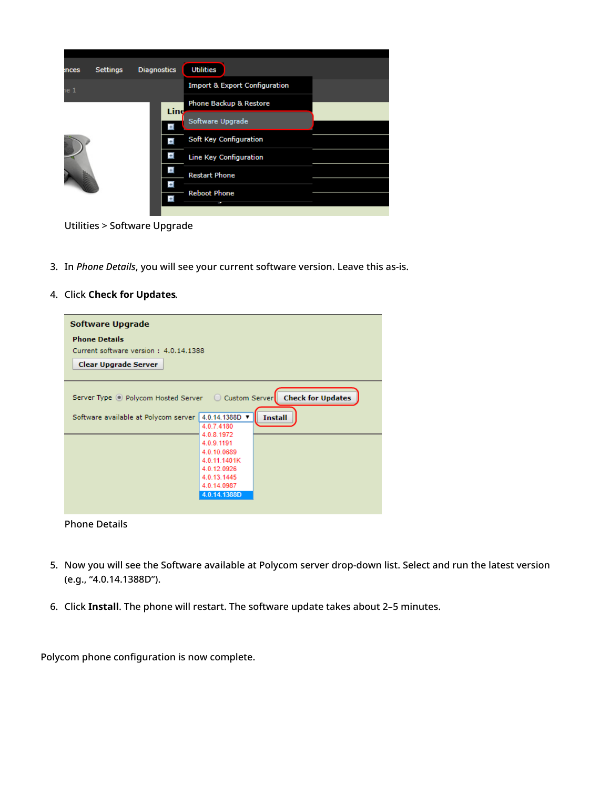| nces | <b>Settings</b> | <b>Diagnostics</b> | <b>Utilities</b>                         |  |
|------|-----------------|--------------------|------------------------------------------|--|
| ie 1 |                 |                    | <b>Import &amp; Export Configuration</b> |  |
|      |                 | Line               | <b>Phone Backup &amp; Restore</b>        |  |
|      |                 | $\pm$              | Software Upgrade                         |  |
|      |                 | E                  | Soft Key Configuration                   |  |
|      |                 | Ŧ                  | <b>Line Key Configuration</b>            |  |
| D    |                 | Ŧ                  | <b>Restart Phone</b>                     |  |
|      |                 | Ð                  | <b>Reboot Phone</b>                      |  |
|      |                 | E                  |                                          |  |
|      |                 |                    |                                          |  |

Utilities > Software Upgrade

- 3. In *Phone Details*, you will see your current software version. Leave this as-is.
- 4. Click **Check for Updates**.

| Software Upgrade                                                      |                                |  |
|-----------------------------------------------------------------------|--------------------------------|--|
| <b>Phone Details</b>                                                  |                                |  |
| Current software version: 4.0.14.1388                                 |                                |  |
| <b>Clear Upgrade Server</b>                                           |                                |  |
|                                                                       |                                |  |
| Server Type O Polycom Hosted Server O Custom Server Check for Updates |                                |  |
| Software available at Polycom server                                  | 4.0.14.1388D<br><b>Install</b> |  |
|                                                                       | 4.0.7.4180                     |  |
|                                                                       | 4.0.8.1972                     |  |
|                                                                       | 4.0.9.1191                     |  |
|                                                                       | 4.0.10.0689<br>4.0.11.1401K    |  |
|                                                                       | 4.0.12.0926                    |  |
|                                                                       | 4.0.13.1445                    |  |
|                                                                       | 4.0.14.0987                    |  |
|                                                                       | 4.0.14.1388D                   |  |
|                                                                       |                                |  |
|                                                                       |                                |  |

Phone Details

- 5. Now you will see the Software available at Polycom server drop-down list. Select and run the latest version (e.g., "4.0.14.1388D").
- 6. Click **Install**. The phone will restart. The software update takes about 2–5 minutes.

Polycom phone configuration is now complete.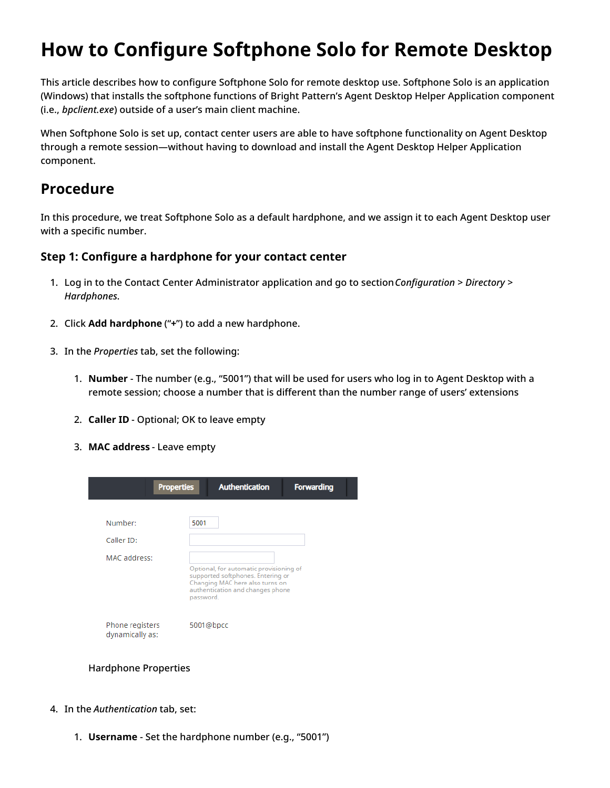# <span id="page-19-0"></span>**How to Configure Softphone Solo for Remote Desktop**

This article describes how to configure Softphone Solo for remote desktop use. Softphone Solo is an application (Windows) that installs the softphone functions of Bright Pattern's Agent Desktop Helper Application component (i.e., *bpclient.exe*) outside of a user's main client machine.

When Softphone Solo is set up, contact center users are able to have softphone functionality on Agent Desktop through a remote session—without having to download and install the Agent Desktop Helper Application component.

## <span id="page-19-1"></span>**Procedure**

In this procedure, we treat Softphone Solo as a default hardphone, and we assign it to each Agent Desktop user with a specific number.

### <span id="page-19-2"></span>**Step 1: Configure a hardphone for your contact center**

- 1. Log in to the Contact Center Administrator application and go to section*Configuration > Directory > Hardphones*.
- 2. Click **Add hardphone** ("**+**") to add a new hardphone.
- 3. In the *Properties* tab, set the following:
	- 1. **Number** The number (e.g., "5001") that will be used for users who log in to Agent Desktop with a remote session; choose a number that is different than the number range of users' extensions
	- 2. **Caller ID** Optional; OK to leave empty
	- 3. **MAC address** Leave empty

| <b>Properties</b>                  | <b>Authentication</b>                                                                                                 | <b>Forwarding</b> |
|------------------------------------|-----------------------------------------------------------------------------------------------------------------------|-------------------|
| Number:                            | 5001                                                                                                                  |                   |
| Caller ID:<br>MAC address:         | Optional, for automatic provisioning of                                                                               |                   |
|                                    | supported softphones. Entering or<br>Changing MAC here also turns on<br>authentication and changes phone<br>password. |                   |
| Phone registers<br>dynamically as: | 5001@bpcc                                                                                                             |                   |

Hardphone Properties

- 4. In the *Authentication* tab, set:
	- 1. **Username** Set the hardphone number (e.g., "5001")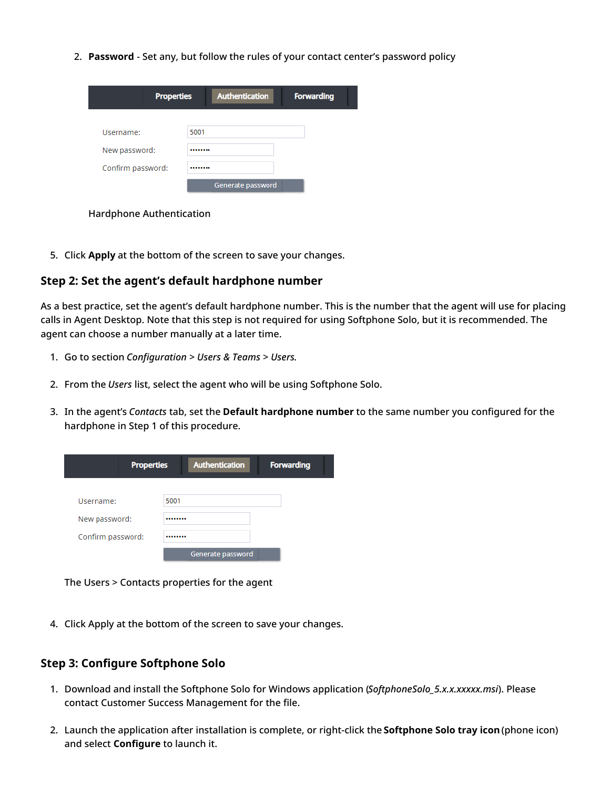2. **Password** - Set any, but follow the rules of your contact center's password policy

| <b>Properties</b> | <b>Authentication</b> | <b>Forwarding</b> |
|-------------------|-----------------------|-------------------|
|                   |                       |                   |
| Username:         | 5001                  |                   |
| New password:     |                       |                   |
| Confirm password: |                       |                   |
|                   | Generate password     |                   |
|                   |                       |                   |

Hardphone Authentication

5. Click **Apply** at the bottom of the screen to save your changes.

#### <span id="page-20-0"></span>**Step 2: Set the agent's default hardphone number**

As a best practice, set the agent's default hardphone number. This is the number that the agent will use for placing calls in Agent Desktop. Note that this step is not required for using Softphone Solo, but it is recommended. The agent can choose a number manually at a later time.

- 1. Go to section *Configuration > Users & Teams > Users*.
- 2. From the *Users* list, select the agent who will be using Softphone Solo.
- 3. In the agent's *Contacts* tab, set the **Default hardphone number** to the same number you configured for the hardphone in Step 1 of this procedure.

| <b>Properties</b> | <b>Authentication</b> | <b>Forwarding</b> |
|-------------------|-----------------------|-------------------|
| Username:         | 5001                  |                   |
| New password:     |                       |                   |
| Confirm password: |                       |                   |
|                   | Generate password     |                   |

The Users > Contacts properties for the agent

4. Click Apply at the bottom of the screen to save your changes.

### <span id="page-20-1"></span>**Step 3: Configure Softphone Solo**

- 1. Download and install the Softphone Solo for Windows application (*SoftphoneSolo\_5.x.x.xxxxx.msi*). Please contact Customer Success Management for the file.
- 2. Launch the application after installation is complete, or right-click the **Softphone Solo tray icon**(phone icon) and select **Configure** to launch it.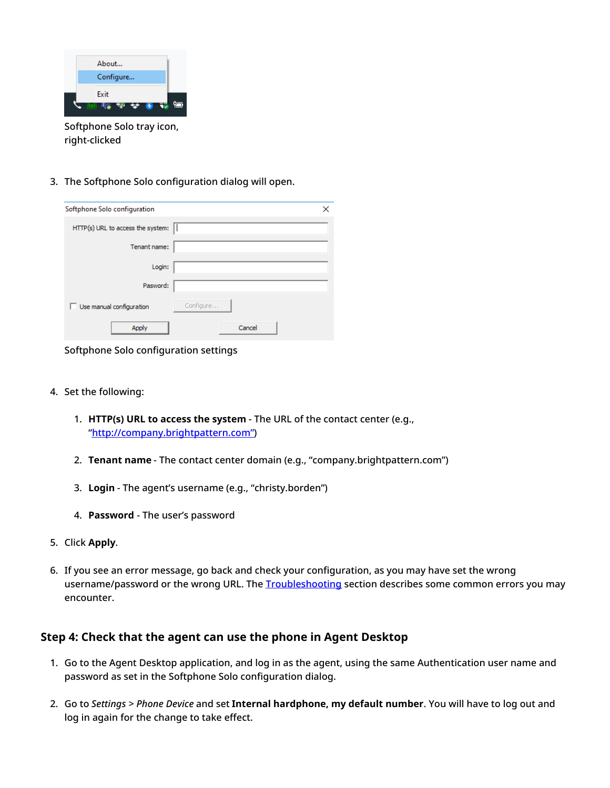| About                     |
|---------------------------|
| Configure                 |
| Exit<br>₩<br>로            |
| Softphone Solo tray icon, |

- right-clicked
- 3. The Softphone Solo configuration dialog will open.

| Softphone Solo configuration      | ×         |
|-----------------------------------|-----------|
| HTTP(s) URL to access the system: |           |
| Tenant name:                      |           |
| Login:                            |           |
| Pasword:                          |           |
| Use manual configuration          | Configure |
| Apply                             | Cancel    |

Softphone Solo configuration settings

- 4. Set the following:
	- 1. **HTTP(s) URL to access the system** The URL of the contact center (e.g., ["http://company.brightpattern.com"](http://company.brightpattern.xn--com-9o0a))
	- 2. **Tenant name** The contact center domain (e.g., "company.brightpattern.com")
	- 3. **Login** The agent's username (e.g., "christy.borden")
	- 4. **Password** The user's password
- 5. Click **Apply**.
- 6. If you see an error message, go back and check your configuration, as you may have set the wrong username/password or the wrong URL. The [Troubleshooting](https://help.brightpattern.com/5.8:Contact-center-administrator-guide/ApplicationNotes/SoftphoneSoloConfiguration#Troubleshooting) section describes some common errors you may encounter.

#### <span id="page-21-0"></span>**Step 4: Check that the agent can use the phone in Agent Desktop**

- 1. Go to the Agent Desktop application, and log in as the agent, using the same Authentication user name and password as set in the Softphone Solo configuration dialog.
- 2. Go to *Settings > Phone Device* and set **Internal hardphone, my default number**. You will have to log out and log in again for the change to take effect.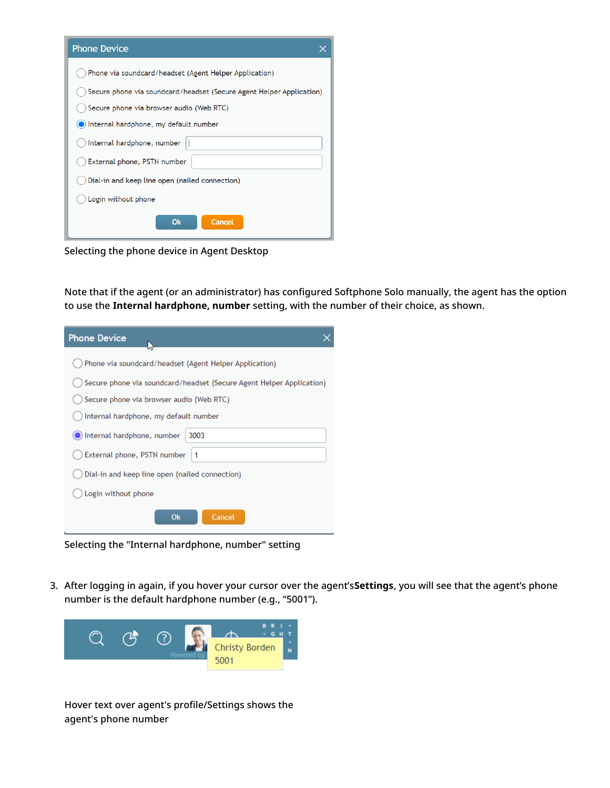| <b>Phone Device</b>                                                  |  |  |  |  |
|----------------------------------------------------------------------|--|--|--|--|
| Phone via soundcard/headset (Agent Helper Application)               |  |  |  |  |
| Secure phone via soundcard/headset (Secure Agent Helper Application) |  |  |  |  |
| Secure phone via browser audio (Web RTC)                             |  |  |  |  |
| O Internal hardphone, my default number                              |  |  |  |  |
| Internal hardphone, number                                           |  |  |  |  |
| External phone, PSTN number                                          |  |  |  |  |
| Dial-in and keep line open (nailed connection)                       |  |  |  |  |
| Login without phone                                                  |  |  |  |  |
| <b>Ok</b><br>Cancel                                                  |  |  |  |  |

Selecting the phone device in Agent Desktop

Note that if the agent (or an administrator) has configured Softphone Solo manually, the agent has the option to use the **Internal hardphone, number** setting, with the number of their choice, as shown.

| <b>Phone Device</b>                                                  |  |  |
|----------------------------------------------------------------------|--|--|
| Phone via soundcard/headset (Agent Helper Application)               |  |  |
| Secure phone via soundcard/headset (Secure Agent Helper Application) |  |  |
| Secure phone via browser audio (Web RTC)                             |  |  |
| Internal hardphone, my default number                                |  |  |
| Internal hardphone, number<br>3003                                   |  |  |
| External phone, PSTN number<br>$\mathbf{1}$                          |  |  |
| Dial-in and keep line open (nailed connection)                       |  |  |
| Login without phone                                                  |  |  |
| <b>Ok</b><br>Cancel                                                  |  |  |

Selecting the "Internal hardphone, number" setting

3. After logging in again, if you hover your cursor over the agent's**Settings**, you will see that the agent's phone number is the default hardphone number (e.g., "5001").



Hover text over agent's profile/Settings shows the agent's phone number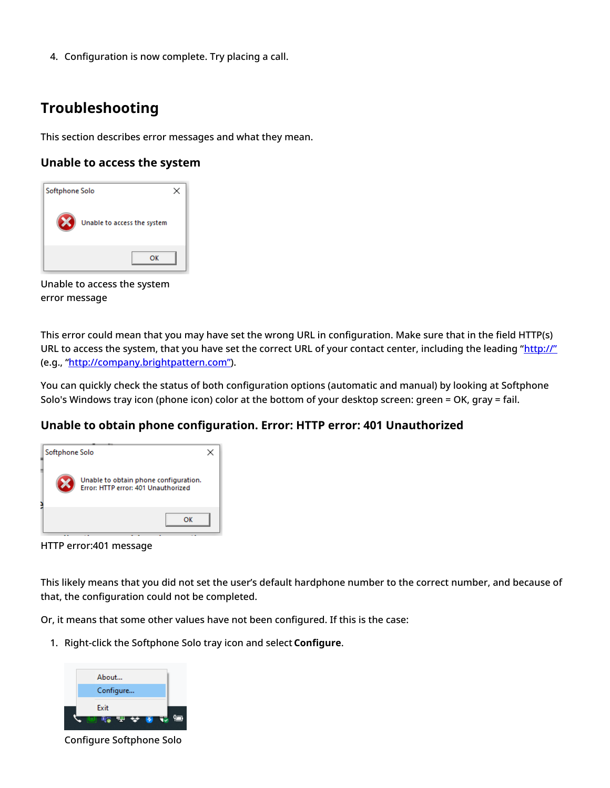4. Configuration is now complete. Try placing a call.

## <span id="page-23-0"></span>**Troubleshooting**

This section describes error messages and what they mean.

### <span id="page-23-1"></span>**Unable to access the system**



Unable to access the system error message

This error could mean that you may have set the wrong URL in configuration. Make sure that in the field HTTP(s) URL to access the system, that you have set the correct URL of your contact center, including the leading "[http://"](http://xn--ivg) (e.g., ["http://company.brightpattern.com"](http://company.brightpattern.xn--com-9o0a)).

You can quickly check the status of both configuration options (automatic and manual) by looking at Softphone Solo's Windows tray icon (phone icon) color at the bottom of your desktop screen: green = OK, gray = fail.

### <span id="page-23-2"></span>**Unable to obtain phone configuration. Error: HTTP error: 401 Unauthorized**

| Softphone Solo                                                               |  |
|------------------------------------------------------------------------------|--|
| Unable to obtain phone configuration.<br>Error: HTTP error: 401 Unauthorized |  |
| ΩK                                                                           |  |

HTTP error:401 message

This likely means that you did not set the user's default hardphone number to the correct number, and because of that, the configuration could not be completed.

Or, it means that some other values have not been configured. If this is the case:

1. Right-click the Softphone Solo tray icon and select **Configure**.



Configure Softphone Solo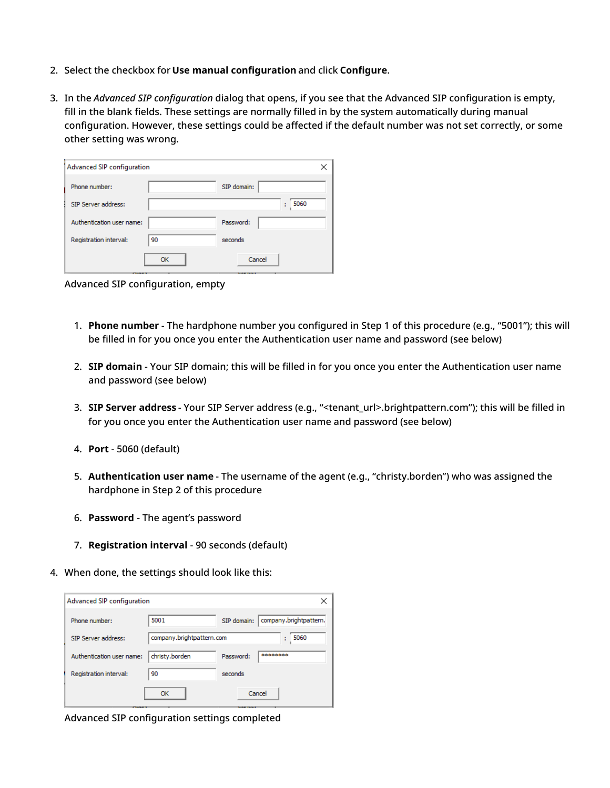- 2. Select the checkbox for **Use manual configuration** and click **Configure**.
- 3. In the *Advanced SIP configuration* dialog that opens, if you see that the Advanced SIP configuration is empty, fill in the blank fields. These settings are normally filled in by the system automatically during manual configuration. However, these settings could be affected if the default number was not set correctly, or some other setting was wrong.

|    | ×           |
|----|-------------|
|    | SIP domain: |
|    | 5060<br>÷   |
|    | Password:   |
| 90 | seconds     |
| OK | Cancel      |
|    |             |

Advanced SIP configuration, empty

- 1. **Phone number** The hardphone number you configured in Step 1 of this procedure (e.g., "5001"); this will be filled in for you once you enter the Authentication user name and password (see below)
- 2. **SIP domain** Your SIP domain; this will be filled in for you once you enter the Authentication user name and password (see below)
- 3. **SIP Server address** Your SIP Server address (e.g., "<tenant\_url>.brightpattern.com"); this will be filled in for you once you enter the Authentication user name and password (see below)
- 4. **Port** 5060 (default)
- 5. **Authentication user name** The username of the agent (e.g., "christy.borden") who was assigned the hardphone in Step 2 of this procedure
- 6. **Password** The agent's password
- 7. **Registration interval** 90 seconds (default)
- 4. When done, the settings should look like this:

| Advanced SIP configuration<br>× |                           |                                        |             |                        |
|---------------------------------|---------------------------|----------------------------------------|-------------|------------------------|
|                                 | Phone number:             | 5001                                   | SIP domain: | company.brightpattern. |
|                                 | SIP Server address:       | company.brightpattern.com<br>5060<br>÷ |             |                        |
|                                 | Authentication user name: | christy.borden                         | Password:   | ********               |
|                                 | Registration interval:    | 90                                     | seconds     |                        |
|                                 |                           | OK                                     |             | Cancel                 |

Advanced SIP configuration settings completed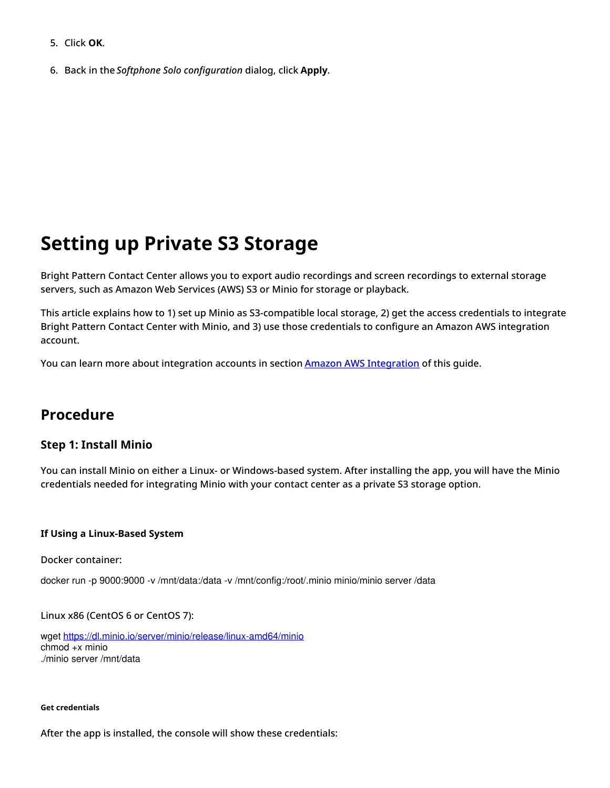- 5. Click **OK**.
- 6. Back in the *Softphone Solo configuration* dialog, click **Apply**.

# <span id="page-25-0"></span>**Setting up Private S3 Storage**

Bright Pattern Contact Center allows you to export audio recordings and screen recordings to external storage servers, such as Amazon Web Services (AWS) S3 or Minio for storage or playback.

This article explains how to 1) set up Minio as S3-compatible local storage, 2) get the access credentials to integrate Bright Pattern Contact Center with Minio, and 3) use those credentials to configure an Amazon AWS integration account.

You can learn more about integration accounts in section **Amazon AWS [Integration](https://help.brightpattern.com/5.8:Contact-center-administrator-guide/IntegrationAccounts#Amazon_AWS_Integration)** of this guide.

## <span id="page-25-1"></span>**Procedure**

#### <span id="page-25-2"></span>**Step 1: Install Minio**

You can install Minio on either a Linux- or Windows-based system. After installing the app, you will have the Minio credentials needed for integrating Minio with your contact center as a private S3 storage option.

#### <span id="page-25-3"></span>**If Using a Linux-Based System**

Docker container:

docker run -p 9000:9000 -v /mnt/data:/data -v /mnt/config:/root/.minio minio/minio server /data

Linux x86 (CentOS 6 or CentOS 7):

wget <https://dl.minio.io/server/minio/release/linux-amd64/minio> chmod +x minio ./minio server /mnt/data

#### <span id="page-25-4"></span>**Get credentials**

After the app is installed, the console will show these credentials: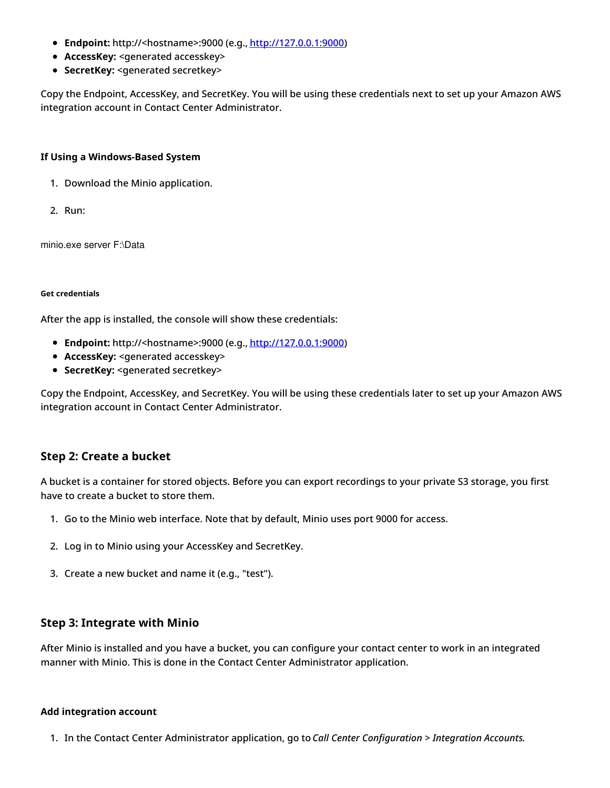- **Endpoint:** http://<hostname>:9000 (e.g., <http://127.0.0.1:9000>)
- **AccessKey:** <generated accesskey>
- **SecretKey:** <generated secretkey>

Copy the Endpoint, AccessKey, and SecretKey. You will be using these credentials next to set up your Amazon AWS integration account in Contact Center Administrator.

#### <span id="page-26-0"></span>**If Using a Windows-Based System**

- 1. Download the Minio application.
- 2. Run:

minio.exe server F:\Data

#### <span id="page-26-1"></span>**Get credentials**

After the app is installed, the console will show these credentials:

- **Endpoint:** http://<hostname>:9000 (e.g., <http://127.0.0.1:9000>)
- **AccessKey:** <generated accesskey>
- **SecretKey:** <generated secretkey>

Copy the Endpoint, AccessKey, and SecretKey. You will be using these credentials later to set up your Amazon AWS integration account in Contact Center Administrator.

#### <span id="page-26-2"></span>**Step 2: Create a bucket**

A bucket is a container for stored objects. Before you can export recordings to your private S3 storage, you first have to create a bucket to store them.

- 1. Go to the Minio web interface. Note that by default, Minio uses port 9000 for access.
- 2. Log in to Minio using your AccessKey and SecretKey.
- 3. Create a new bucket and name it (e.g., "test").

#### <span id="page-26-3"></span>**Step 3: Integrate with Minio**

After Minio is installed and you have a bucket, you can configure your contact center to work in an integrated manner with Minio. This is done in the Contact Center Administrator application.

#### <span id="page-26-4"></span>**Add integration account**

1. In the Contact Center Administrator application, go to *Call Center Configuration > Integration Accounts*.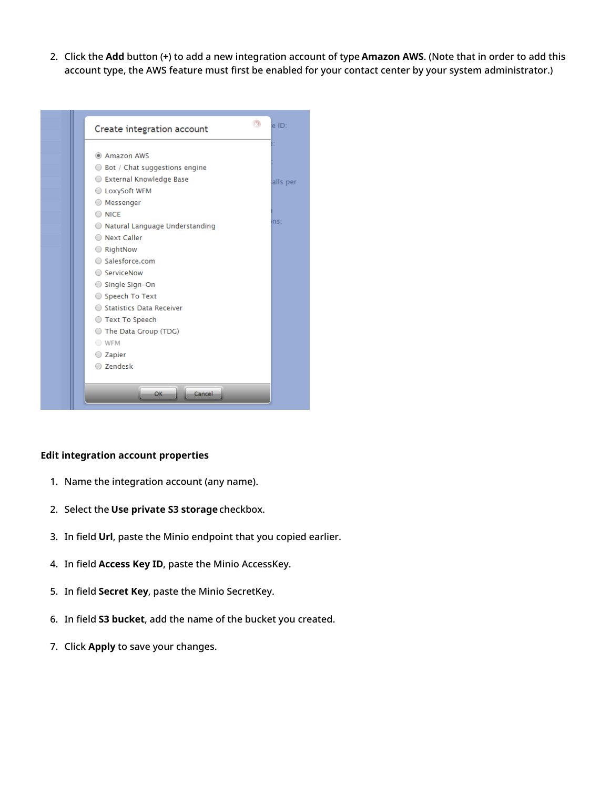2. Click the **Add** button (**+**) to add a new integration account of type **Amazon AWS**. (Note that in order to add this account type, the AWS feature must first be enabled for your contact center by your system administrator.)



#### <span id="page-27-0"></span>**Edit integration account properties**

- 1. Name the integration account (any name).
- 2. Select the **Use private S3 storage** checkbox.
- 3. In field **Url**, paste the Minio endpoint that you copied earlier.
- 4. In field **Access Key ID**, paste the Minio AccessKey.
- 5. In field **Secret Key**, paste the Minio SecretKey.
- 6. In field **S3 bucket**, add the name of the bucket you created.
- 7. Click **Apply** to save your changes.